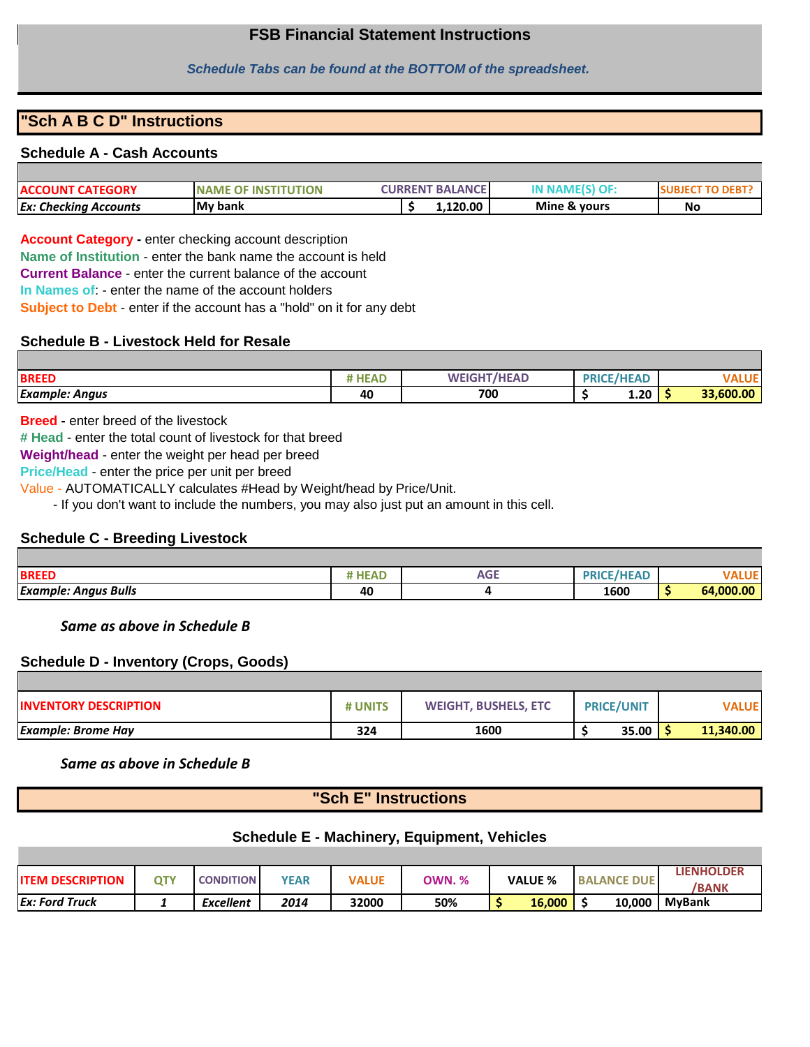## **FSB Financial Statement Instructions**

#### *Schedule Tabs can be found at the BOTTOM of the spreadsheet.*

## **"Sch A B C D" Instructions**

#### **Schedule A - Cash Accounts**

| My bank<br><b>Ex: Checking Accounts</b>                               | 1.120.00                        | Mine & yours | No |
|-----------------------------------------------------------------------|---------------------------------|--------------|----|
| <b>TEGORY</b><br>TION<br>-IN'<br><b>NAME</b><br>ACCOUNT CA<br>.<br>ш× | <b>BALANCE</b><br><b>URRENT</b> |              |    |

**Account Category -** enter checking account description

**Name of Institution** - enter the bank name the account is held

**Current Balance** - enter the current balance of the account

**In Names of**: - enter the name of the account holders

**Subject to Debt** - enter if the account has a "hold" on it for any debt

## **Schedule B - Livestock Held for Resale**

| <b>BREED</b>          | 1 EAU | <b>MHEAD</b><br>$E$ IGHT<br>w- | <b>DDICE</b><br>nı | $\sim$ /Lieap<br>. . |           |
|-----------------------|-------|--------------------------------|--------------------|----------------------|-----------|
| <b>Example: Angus</b> | 40    | 700                            |                    | 1.20                 | 33.600.00 |

**Breed -** enter breed of the livestock

**# Head** - enter the total count of livestock for that breed

**Weight/head** - enter the weight per head per breed

**Price/Head** - enter the price per unit per breed

Value - AUTOMATICALLY calculates #Head by Weight/head by Price/Unit.

- If you don't want to include the numbers, you may also just put an amount in this cell.

## **Schedule C - Breeding Livestock**

| <b>BREED</b>                | <b>HEAD</b> | $-$<br>AGE | 110000<br><br>mu |           |
|-----------------------------|-------------|------------|------------------|-----------|
| <b>Example: Angus Bulls</b> | 40          |            | 1600             | 64.000.00 |

 *Same as above in Schedule B*

## **Schedule D - Inventory (Crops, Goods)**

| <b>INVENTORY DESCRIPTION</b> | # UNITS | <b>WEIGHT, BUSHELS, ETC</b> | <b>PRICE/UNIT</b> | VALUEI    |
|------------------------------|---------|-----------------------------|-------------------|-----------|
| <b>Example: Brome Hay</b>    | 324     | 1600                        | 35.00             | 11,340.00 |

## *Same as above in Schedule B*

# **"Sch E" Instructions**

## **Schedule E - Machinery, Equipment, Vehicles**

| <b>IITEM DESCRIPTION</b> | OTY | <b>CONDITION</b> | <b>YEAR</b> | <b>VALUE</b> | <b>OWN. %</b> | <b>VALUE %</b> | <b>BALANCE DUE</b> | LIENHOLDER<br><b>BANK</b> |
|--------------------------|-----|------------------|-------------|--------------|---------------|----------------|--------------------|---------------------------|
| <b>Ex: Ford Truck</b>    |     | <b>Excellent</b> | 2014        | 32000        | 50%           | 16,000         | 10,000             | <b>MvBank</b>             |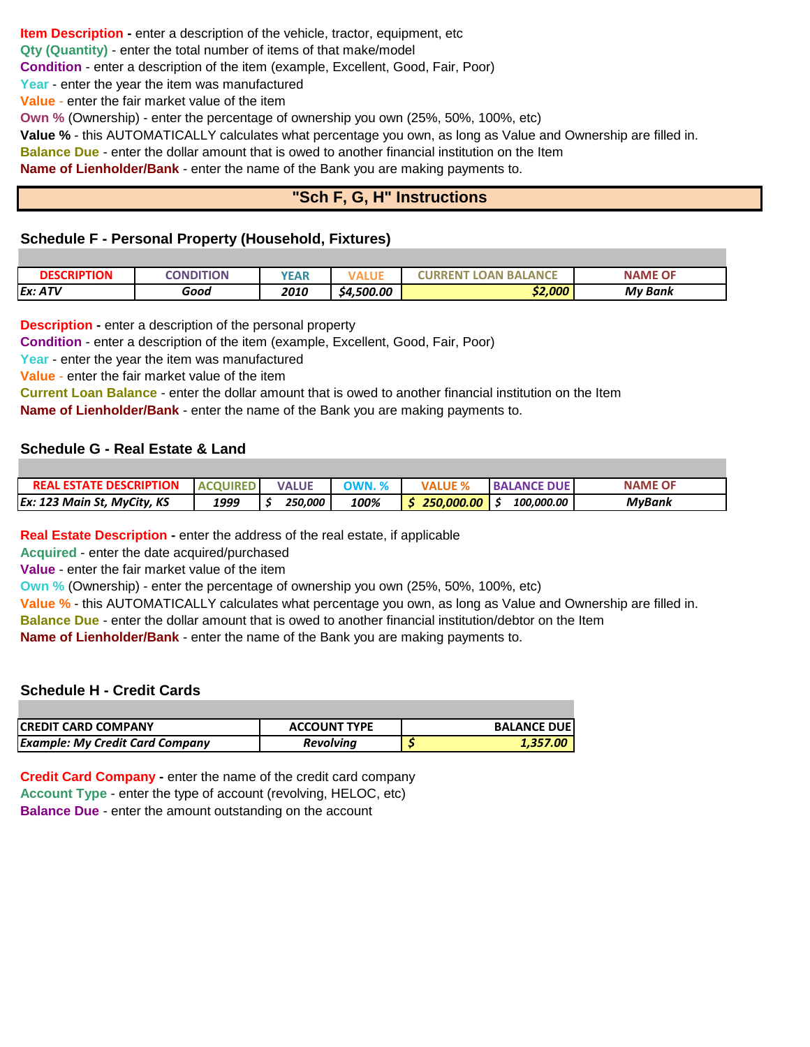**Item Description -** enter a description of the vehicle, tractor, equipment, etc **Qty (Quantity)** - enter the total number of items of that make/model

**Condition** - enter a description of the item (example, Excellent, Good, Fair, Poor)

**Year** - enter the year the item was manufactured

**Value** - enter the fair market value of the item

**Own %** (Ownership) - enter the percentage of ownership you own (25%, 50%, 100%, etc)

**Value %** - this AUTOMATICALLY calculates what percentage you own, as long as Value and Ownership are filled in.

**Balance Due** - enter the dollar amount that is owed to another financial institution on the Item

**Name of Lienholder/Bank** - enter the name of the Bank you are making payments to.

# **"Sch F, G, H" Instructions**

## **Schedule F - Personal Property (Household, Fixtures)**

| <b>DESCRIPTION</b> | CONDITION | <b>YEAR</b> | .          | <b>ANCE</b><br><b>BA</b><br>.OAN<br>KEN. | <b>NAME OF</b> |
|--------------------|-----------|-------------|------------|------------------------------------------|----------------|
| Ex: ATV            | Good      | 2010        | \$4,500.00 | \$2,000                                  | <b>My Bank</b> |

**Description -** enter a description of the personal property

**Condition** - enter a description of the item (example, Excellent, Good, Fair, Poor)

**Year** - enter the year the item was manufactured

**Value** - enter the fair market value of the item

**Current Loan Balance** - enter the dollar amount that is owed to another financial institution on the Item **Name of Lienholder/Bank** - enter the name of the Bank you are making payments to.

## **Schedule G - Real Estate & Land**

| <b>REAL ESTATE DESCRIPTION</b> | <b>ACQUIRED</b> | <b>VALUE</b> | $\gamma$ WN. % | VALI       | <b>BALANCE DUE</b> | <b>NAME OF</b> |
|--------------------------------|-----------------|--------------|----------------|------------|--------------------|----------------|
| Ex: 123 Main St, MyCity, KS    | 1999            | 250.000      | 100%           | 250.000.00 | 100.000.00         | <b>MvBank</b>  |

**Real Estate Description -** enter the address of the real estate, if applicable

**Acquired** - enter the date acquired/purchased

**Value** - enter the fair market value of the item

**Own %** (Ownership) - enter the percentage of ownership you own (25%, 50%, 100%, etc)

**Value %** - this AUTOMATICALLY calculates what percentage you own, as long as Value and Ownership are filled in.

**Balance Due** - enter the dollar amount that is owed to another financial institution/debtor on the Item

**Name of Lienholder/Bank** - enter the name of the Bank you are making payments to.

## **Schedule H - Credit Cards**

| ICREDIT CARD COMPANY                   | <b>ACCOUNT TYPE</b> | <b>BALANCE DUEI</b> |
|----------------------------------------|---------------------|---------------------|
| <b>Example: My Credit Card Company</b> | <b>Revolving</b>    | 1.357.00            |

**Credit Card Company -** enter the name of the credit card company **Account Type** - enter the type of account (revolving, HELOC, etc) **Balance Due** - enter the amount outstanding on the account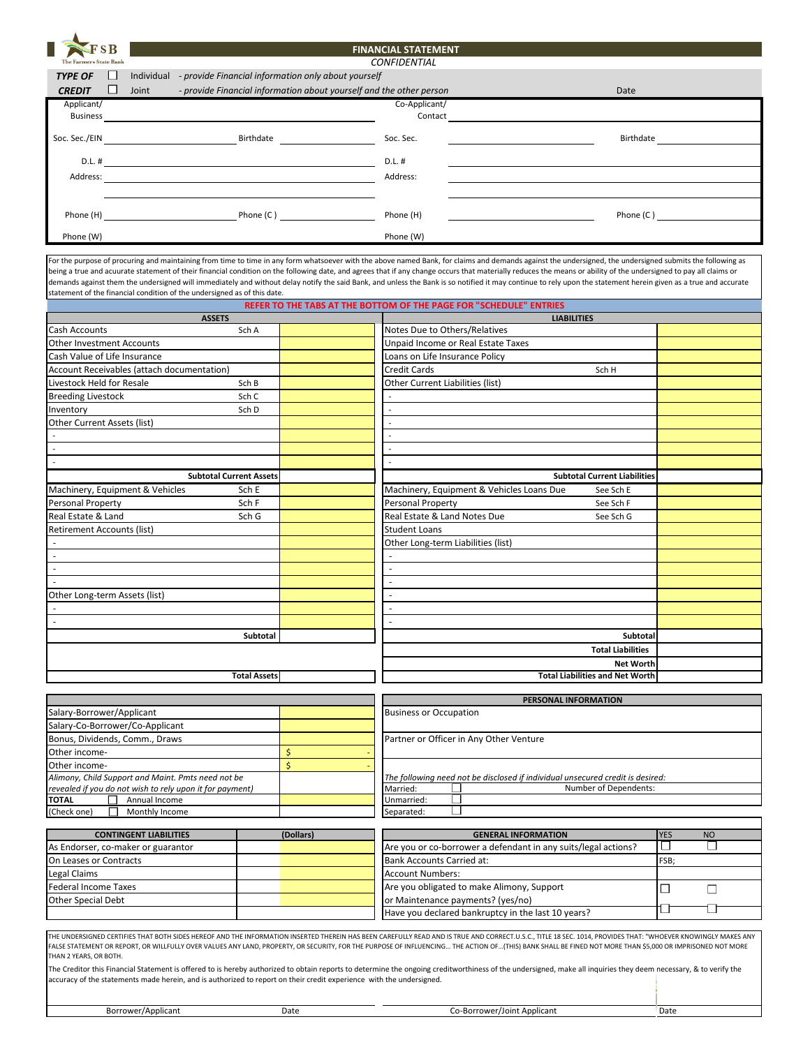| SВ                            |                      | <b>FINANCIAL STATEMENT</b>                                                                                            |               |  |           |  |  |  |  |  |  |
|-------------------------------|----------------------|-----------------------------------------------------------------------------------------------------------------------|---------------|--|-----------|--|--|--|--|--|--|
| <b>The Farmers State Bank</b> | <b>CONFIDENTIAL</b>  |                                                                                                                       |               |  |           |  |  |  |  |  |  |
| <b>TYPE OF</b>                | Individual<br>$\Box$ | - provide Financial information only about yourself                                                                   |               |  |           |  |  |  |  |  |  |
| <b>CREDIT</b>                 | Joint<br>$\Box$      | - provide Financial information about yourself and the other person                                                   |               |  | Date      |  |  |  |  |  |  |
| Applicant/                    |                      |                                                                                                                       | Co-Applicant/ |  |           |  |  |  |  |  |  |
| <b>Business</b>               |                      |                                                                                                                       | Contact       |  |           |  |  |  |  |  |  |
| Soc. Sec./EIN                 |                      | Birthdate                                                                                                             | Soc. Sec.     |  | Birthdate |  |  |  |  |  |  |
|                               |                      |                                                                                                                       |               |  |           |  |  |  |  |  |  |
| D.L. #                        |                      |                                                                                                                       | D.L. #        |  |           |  |  |  |  |  |  |
| Address:                      |                      |                                                                                                                       | Address:      |  |           |  |  |  |  |  |  |
|                               |                      |                                                                                                                       |               |  |           |  |  |  |  |  |  |
| Phone (H)                     |                      | Phone (C)                                                                                                             | Phone (H)     |  | Phone (C) |  |  |  |  |  |  |
|                               |                      | <u> 1989 - Jan Sterling Sterling Sterling Sterling Sterling Sterling Sterling Sterling Sterling Sterling Sterling</u> |               |  |           |  |  |  |  |  |  |
| Phone (W)                     |                      |                                                                                                                       | Phone (W)     |  |           |  |  |  |  |  |  |

For the purpose of procuring and maintaining from time to time in any form whatsoever with the above named Bank, for claims and demands against the undersigned, the undersigned submits the following as being a true and acuurate statement of their financial condition on the following date, and agrees that if any change occurs that materially reduces the means or ability of the undersigned to pay all claims or demands against them the undersigned will immediately and without delay notify the said Bank, and unless the Bank is so notified it may continue to rely upon the statement herein given as a true and accurate statement of the financial condition of the undersigned as of this date.

|                                                          |                                |                         | REFER TO THE TABS AT THE BOTTOM OF THE PAGE FOR "SCHEDULE" ENTRIES             |              |                          |
|----------------------------------------------------------|--------------------------------|-------------------------|--------------------------------------------------------------------------------|--------------|--------------------------|
|                                                          | <b>ASSETS</b>                  |                         | <b>LIABILITIES</b>                                                             |              |                          |
| Cash Accounts                                            | Sch A                          |                         | Notes Due to Others/Relatives                                                  |              |                          |
| <b>Other Investment Accounts</b>                         |                                |                         | Unpaid Income or Real Estate Taxes                                             |              |                          |
| Cash Value of Life Insurance                             |                                |                         | Loans on Life Insurance Policy                                                 |              |                          |
| Account Receivables (attach documentation)               |                                |                         | Credit Cards<br>Sch H                                                          |              |                          |
| Livestock Held for Resale                                | Sch B                          |                         | Other Current Liabilities (list)                                               |              |                          |
| <b>Breeding Livestock</b>                                | Sch C                          |                         |                                                                                |              |                          |
| Inventory                                                | Sch D                          |                         |                                                                                |              |                          |
| <b>Other Current Assets (list)</b>                       |                                |                         |                                                                                |              |                          |
|                                                          |                                |                         |                                                                                |              |                          |
| $\mathcal{L}$                                            |                                |                         |                                                                                |              |                          |
| $\sim$                                                   |                                |                         |                                                                                |              |                          |
|                                                          | <b>Subtotal Current Assets</b> |                         | <b>Subtotal Current Liabilities</b>                                            |              |                          |
|                                                          |                                |                         |                                                                                |              |                          |
| Machinery, Equipment & Vehicles                          | Sch E                          |                         | Machinery, Equipment & Vehicles Loans Due<br>See Sch E                         |              |                          |
| Personal Property                                        | Sch F                          |                         | <b>Personal Property</b><br>See Sch F                                          |              |                          |
| Real Estate & Land                                       | Sch G                          |                         | Real Estate & Land Notes Due<br>See Sch G                                      |              |                          |
| <b>Retirement Accounts (list)</b>                        |                                |                         | <b>Student Loans</b>                                                           |              |                          |
| $\sim$                                                   |                                |                         | Other Long-term Liabilities (list)                                             |              |                          |
| $\sim$                                                   |                                |                         |                                                                                |              |                          |
| $\mathcal{L}$                                            |                                |                         |                                                                                |              |                          |
|                                                          |                                |                         |                                                                                |              |                          |
| Other Long-term Assets (list)                            |                                |                         |                                                                                |              |                          |
|                                                          |                                |                         |                                                                                |              |                          |
|                                                          |                                |                         |                                                                                |              |                          |
|                                                          | Subtotal                       |                         | Subtotal                                                                       |              |                          |
|                                                          |                                |                         | <b>Total Liabilities</b>                                                       |              |                          |
|                                                          |                                |                         | <b>Net Worth</b>                                                               |              |                          |
|                                                          | <b>Total Assets</b>            |                         | <b>Total Liabilities and Net Worth</b>                                         |              |                          |
|                                                          |                                |                         |                                                                                |              |                          |
|                                                          |                                |                         | PERSONAL INFORMATION                                                           |              |                          |
| Salary-Borrower/Applicant                                |                                |                         | <b>Business or Occupation</b>                                                  |              |                          |
| Salary-Co-Borrower/Co-Applicant                          |                                |                         |                                                                                |              |                          |
| Bonus, Dividends, Comm., Draws                           |                                |                         | Partner or Officer in Any Other Venture                                        |              |                          |
| Other income-                                            |                                | $\mathsf{\hat{S}}$      |                                                                                |              |                          |
| Other income-                                            |                                | $\overline{\mathsf{S}}$ |                                                                                |              |                          |
| Alimony, Child Support and Maint. Pmts need not be       |                                |                         | The following need not be disclosed if individual unsecured credit is desired: |              |                          |
| revealed if you do not wish to rely upon it for payment) |                                |                         | Number of Dependents:<br>Married:                                              |              |                          |
| <b>TOTAL</b><br>Annual Income                            |                                |                         | Unmarried:                                                                     |              |                          |
| (Check one)<br>Monthly Income                            |                                |                         | Separated:                                                                     |              |                          |
| <b>CONTINGENT LIABILITIES</b>                            |                                | (Dollars)               | <b>GENERAL INFORMATION</b>                                                     | <b>YES</b>   | <b>NO</b>                |
| As Endorser, co-maker or guarantor                       |                                |                         | Are you or co-borrower a defendant in any suits/legal actions?                 | $\mathsf{I}$ | $\overline{\phantom{a}}$ |
| On Leases or Contracts                                   |                                |                         | Bank Accounts Carried at:                                                      | FSB:         |                          |
|                                                          |                                |                         |                                                                                |              |                          |

| As Endorser, co-maker or guarantor |  | Are you or co-borrower a defendant in any suits/legal actions? |      |  |
|------------------------------------|--|----------------------------------------------------------------|------|--|
| On Leases or Contracts             |  | Bank Accounts Carried at:                                      | FSB: |  |
| Legal Claims                       |  | <b>Account Numbers:</b>                                        |      |  |
| Federal Income Taxes               |  | Are you obligated to make Alimony, Support                     |      |  |
| <b>Other Special Debt</b>          |  | or Maintenance payments? (yes/no)                              |      |  |
|                                    |  | Have you declared bankruptcy in the last 10 years?             |      |  |

THE UNDERSIGNED CERTIFIES THAT BOTH SIDES HEREOF AND THE INFORMATION INSERTED THEREIN HAS BEEN CAREFULLY READ AND IS TRUE AND CORRECT.U.S.C., TITLE 18 SEC. 1014, PROVIDES THAT: "WHOEVER KNOWINGLY MAKES ANY FALSE STATEMENT OR REPORT, OR WILLFULLY OVER VALUES ANY LAND, PROPERTY, OR SECURITY, FOR THE PURPOSE OF INFLUENCING… THE ACTION OF…(THIS) BANK SHALL BE FINED NOT MORE THAN \$5,000 OR IMPRISONED NOT MORE THAN 2 YEARS, OR BOTH.

The Creditor this Financial Statement is offered to is hereby authorized to obtain reports to determine the ongoing creditworthiness of the undersigned, make all inquiries they deem necessary, & to verify the accuracy of the statements made herein, and is authorized to report on their credit experience with the undersigned.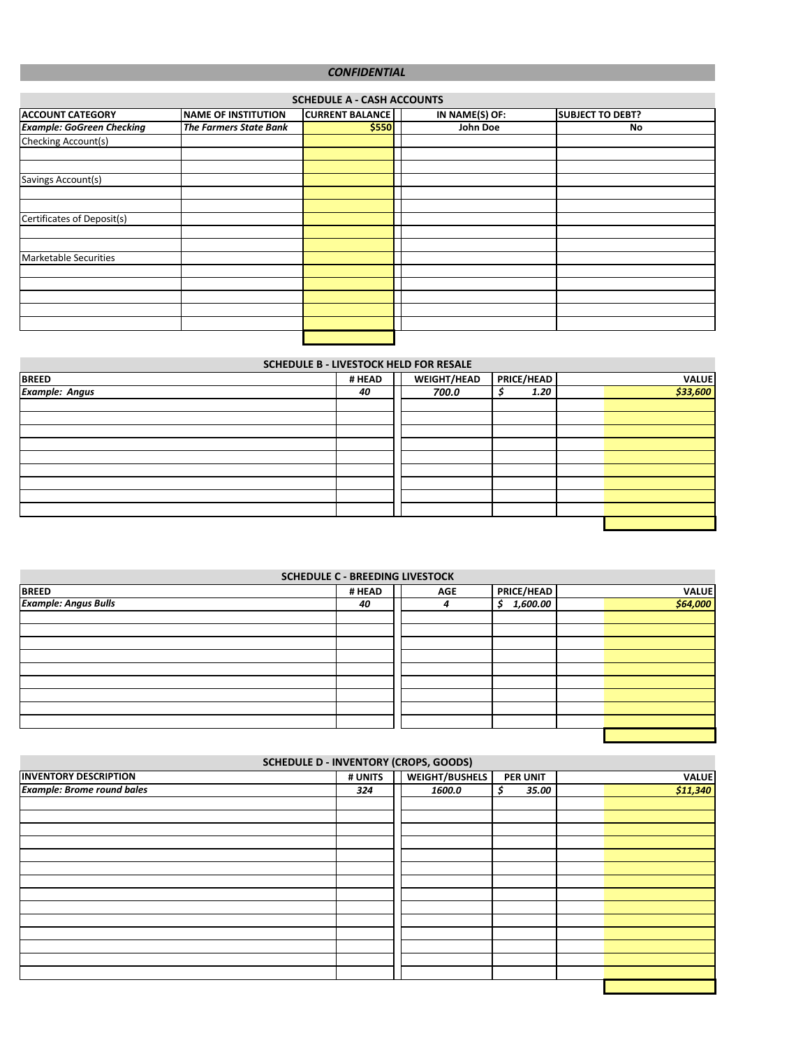#### *CONFIDENTIAL*

| <b>SCHEDULE A - CASH ACCOUNTS</b> |                               |                        |                |                         |  |  |  |  |  |
|-----------------------------------|-------------------------------|------------------------|----------------|-------------------------|--|--|--|--|--|
| <b>ACCOUNT CATEGORY</b>           | <b>NAME OF INSTITUTION</b>    | <b>CURRENT BALANCE</b> | IN NAME(S) OF: | <b>SUBJECT TO DEBT?</b> |  |  |  |  |  |
| <b>Example: GoGreen Checking</b>  | <b>The Farmers State Bank</b> | \$550                  | John Doe       | No                      |  |  |  |  |  |
| Checking Account(s)               |                               |                        |                |                         |  |  |  |  |  |
|                                   |                               |                        |                |                         |  |  |  |  |  |
|                                   |                               |                        |                |                         |  |  |  |  |  |
| Savings Account(s)                |                               |                        |                |                         |  |  |  |  |  |
|                                   |                               |                        |                |                         |  |  |  |  |  |
|                                   |                               |                        |                |                         |  |  |  |  |  |
| Certificates of Deposit(s)        |                               |                        |                |                         |  |  |  |  |  |
|                                   |                               |                        |                |                         |  |  |  |  |  |
|                                   |                               |                        |                |                         |  |  |  |  |  |
| Marketable Securities             |                               |                        |                |                         |  |  |  |  |  |
|                                   |                               |                        |                |                         |  |  |  |  |  |
|                                   |                               |                        |                |                         |  |  |  |  |  |
|                                   |                               |                        |                |                         |  |  |  |  |  |
|                                   |                               |                        |                |                         |  |  |  |  |  |
|                                   |                               |                        |                |                         |  |  |  |  |  |
|                                   |                               |                        |                |                         |  |  |  |  |  |

#### **SCHEDULE B - LIVESTOCK HELD FOR RESALE**

| <b>BREED</b>          | # HEAD | <b>WEIGHT/HEAD</b> | PRICE/HEAD | VALUE    |
|-----------------------|--------|--------------------|------------|----------|
| <b>Example: Angus</b> | 40     | 700.0              | 1.20       | \$33,600 |
|                       |        |                    |            |          |
|                       |        |                    |            |          |
|                       |        |                    |            |          |
|                       |        |                    |            |          |
|                       |        |                    |            |          |
|                       |        |                    |            |          |
|                       |        |                    |            |          |
|                       |        |                    |            |          |
|                       |        |                    |            |          |
|                       |        |                    |            |          |

| <b>SCHEDULE C - BREEDING LIVESTOCK</b> |        |            |                |              |  |  |  |  |
|----------------------------------------|--------|------------|----------------|--------------|--|--|--|--|
| <b>BREED</b>                           | # HEAD | <b>AGE</b> | PRICE/HEAD     | <b>VALUE</b> |  |  |  |  |
| <b>Example: Angus Bulls</b>            | 40     | 4          | 1,600.00<br>Ś. | \$64,000     |  |  |  |  |
|                                        |        |            |                |              |  |  |  |  |
|                                        |        |            |                |              |  |  |  |  |
|                                        |        |            |                |              |  |  |  |  |
|                                        |        |            |                |              |  |  |  |  |
|                                        |        |            |                |              |  |  |  |  |
|                                        |        |            |                |              |  |  |  |  |
|                                        |        |            |                |              |  |  |  |  |
|                                        |        |            |                |              |  |  |  |  |
|                                        |        |            |                |              |  |  |  |  |

| <b>SCHEDULE D - INVENTORY (CROPS, GOODS)</b> |  |                       |     |       |                 |              |  |  |
|----------------------------------------------|--|-----------------------|-----|-------|-----------------|--------------|--|--|
| # UNITS                                      |  | <b>WEIGHT/BUSHELS</b> |     |       |                 | <b>VALUE</b> |  |  |
| 324                                          |  | 1600.0                | \$. | 35.00 |                 | \$11,340     |  |  |
|                                              |  |                       |     |       |                 |              |  |  |
|                                              |  |                       |     |       |                 |              |  |  |
|                                              |  |                       |     |       |                 |              |  |  |
|                                              |  |                       |     |       |                 |              |  |  |
|                                              |  |                       |     |       |                 |              |  |  |
|                                              |  |                       |     |       |                 |              |  |  |
|                                              |  |                       |     |       |                 |              |  |  |
|                                              |  |                       |     |       |                 |              |  |  |
|                                              |  |                       |     |       |                 |              |  |  |
|                                              |  |                       |     |       |                 |              |  |  |
|                                              |  |                       |     |       |                 |              |  |  |
|                                              |  |                       |     |       |                 |              |  |  |
|                                              |  |                       |     |       |                 |              |  |  |
|                                              |  |                       |     |       |                 |              |  |  |
|                                              |  |                       |     |       |                 |              |  |  |
|                                              |  |                       |     |       | <b>PER UNIT</b> |              |  |  |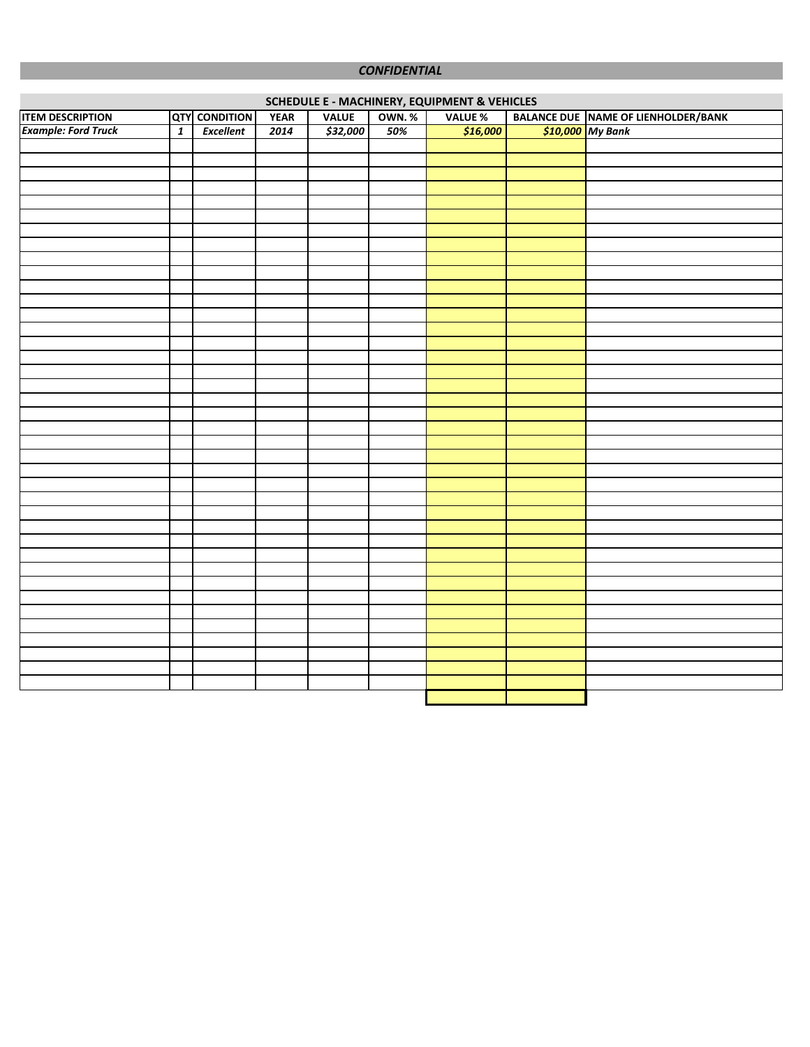#### *CONFIDENTIAL*

|                            | <b>SCHEDULE E - MACHINERY, EQUIPMENT &amp; VEHICLES</b> |                      |             |              |              |                |  |                                            |  |  |
|----------------------------|---------------------------------------------------------|----------------------|-------------|--------------|--------------|----------------|--|--------------------------------------------|--|--|
| <b>ITEM DESCRIPTION</b>    |                                                         | <b>QTY</b> CONDITION | <b>YEAR</b> | <b>VALUE</b> | <b>OWN.%</b> | <b>VALUE %</b> |  | <b>BALANCE DUE NAME OF LIENHOLDER/BANK</b> |  |  |
| <b>Example: Ford Truck</b> | $\overline{\mathbf{1}}$                                 | Excellent            | 2014        | \$32,000     | 50%          | \$16,000       |  | \$10,000 My Bank                           |  |  |
|                            |                                                         |                      |             |              |              |                |  |                                            |  |  |
|                            |                                                         |                      |             |              |              |                |  |                                            |  |  |
|                            |                                                         |                      |             |              |              |                |  |                                            |  |  |
|                            |                                                         |                      |             |              |              |                |  |                                            |  |  |
|                            |                                                         |                      |             |              |              |                |  |                                            |  |  |
|                            |                                                         |                      |             |              |              |                |  |                                            |  |  |
|                            |                                                         |                      |             |              |              |                |  |                                            |  |  |
|                            |                                                         |                      |             |              |              |                |  |                                            |  |  |
|                            |                                                         |                      |             |              |              |                |  |                                            |  |  |
|                            |                                                         |                      |             |              |              |                |  |                                            |  |  |
|                            |                                                         |                      |             |              |              |                |  |                                            |  |  |
|                            |                                                         |                      |             |              |              |                |  |                                            |  |  |
|                            |                                                         |                      |             |              |              |                |  |                                            |  |  |
|                            |                                                         |                      |             |              |              |                |  |                                            |  |  |
|                            |                                                         |                      |             |              |              |                |  |                                            |  |  |
|                            |                                                         |                      |             |              |              |                |  |                                            |  |  |
|                            |                                                         |                      |             |              |              |                |  |                                            |  |  |
|                            |                                                         |                      |             |              |              |                |  |                                            |  |  |
|                            |                                                         |                      |             |              |              |                |  |                                            |  |  |
|                            |                                                         |                      |             |              |              |                |  |                                            |  |  |
|                            |                                                         |                      |             |              |              |                |  |                                            |  |  |
|                            |                                                         |                      |             |              |              |                |  |                                            |  |  |
|                            |                                                         |                      |             |              |              |                |  |                                            |  |  |
|                            |                                                         |                      |             |              |              |                |  |                                            |  |  |
|                            |                                                         |                      |             |              |              |                |  |                                            |  |  |
|                            |                                                         |                      |             |              |              |                |  |                                            |  |  |
|                            |                                                         |                      |             |              |              |                |  |                                            |  |  |
|                            |                                                         |                      |             |              |              |                |  |                                            |  |  |
|                            |                                                         |                      |             |              |              |                |  |                                            |  |  |
|                            |                                                         |                      |             |              |              |                |  |                                            |  |  |
|                            |                                                         |                      |             |              |              |                |  |                                            |  |  |
|                            |                                                         |                      |             |              |              |                |  |                                            |  |  |
|                            |                                                         |                      |             |              |              |                |  |                                            |  |  |
|                            |                                                         |                      |             |              |              |                |  |                                            |  |  |
|                            |                                                         |                      |             |              |              |                |  |                                            |  |  |
|                            |                                                         |                      |             |              |              |                |  |                                            |  |  |
|                            |                                                         |                      |             |              |              |                |  |                                            |  |  |
|                            |                                                         |                      |             |              |              |                |  |                                            |  |  |
|                            |                                                         |                      |             |              |              |                |  |                                            |  |  |